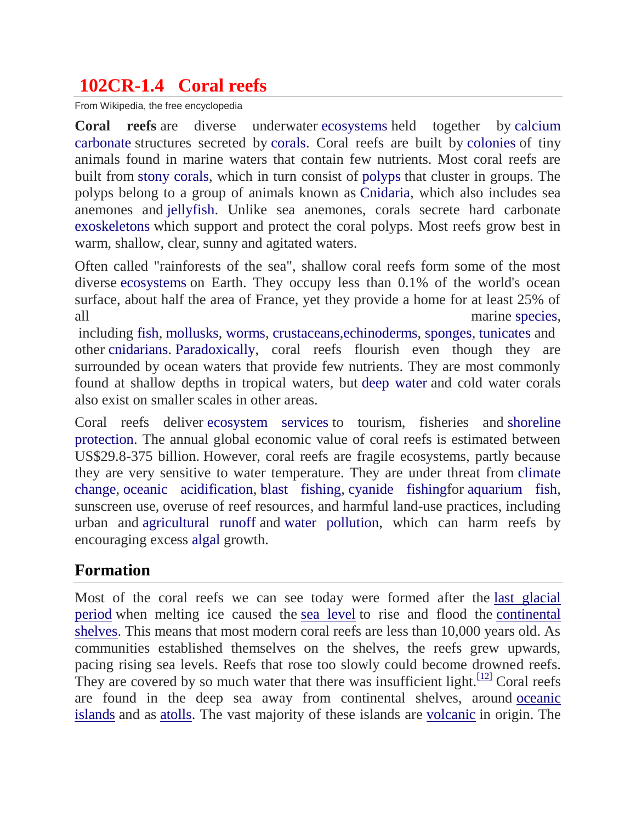# **102CR-1.4 Coral reefs**

From Wikipedia, the free encyclopedia

**Coral reefs** are diverse underwater [ecosystems](https://en.wikipedia.org/wiki/Ecosystems) held together by [calcium](https://en.wikipedia.org/wiki/Calcium_carbonate)  [carbonate](https://en.wikipedia.org/wiki/Calcium_carbonate) structures secreted by [corals.](https://en.wikipedia.org/wiki/Coral) Coral reefs are built by [colonies](https://en.wikipedia.org/wiki/Colony_(biology)) of tiny animals found in marine waters that contain few nutrients. Most coral reefs are built from [stony corals,](https://en.wikipedia.org/wiki/Stony_coral) which in turn consist of [polyps](https://en.wikipedia.org/wiki/Polyp) that cluster in groups. The polyps belong to a group of animals known as [Cnidaria,](https://en.wikipedia.org/wiki/Cnidaria) which also includes sea anemones and [jellyfish.](https://en.wikipedia.org/wiki/Jellyfish) Unlike sea anemones, corals secrete hard carbonate [exoskeletons](https://en.wikipedia.org/wiki/Exoskeleton) which support and protect the coral polyps. Most reefs grow best in warm, shallow, clear, sunny and agitated waters.

Often called "rainforests of the sea", shallow coral reefs form some of the most diverse [ecosystems](https://en.wikipedia.org/wiki/Ecosystem) on Earth. They occupy less than 0.1% of the world's ocean surface, about half the area of France, yet they provide a home for at least 25% of all marine [species,](https://en.wikipedia.org/wiki/Species) and  $\alpha$  marine species,

including [fish,](https://en.wikipedia.org/wiki/Fish) [mollusks,](https://en.wikipedia.org/wiki/Mollusk) [worms,](https://en.wikipedia.org/wiki/Worm) [crustaceans](https://en.wikipedia.org/wiki/Crustaceans)[,echinoderms,](https://en.wikipedia.org/wiki/Echinoderm) [sponges,](https://en.wikipedia.org/wiki/Sponge) [tunicates](https://en.wikipedia.org/wiki/Tunicate) and other [cnidarians.](https://en.wikipedia.org/wiki/Cnidarians) [Paradoxically,](https://en.wikipedia.org/wiki/Coral_reef#Darwin.27s_paradox) coral reefs flourish even though they are surrounded by ocean waters that provide few nutrients. They are most commonly found at shallow depths in tropical waters, but [deep water](https://en.wikipedia.org/wiki/Deep_water_coral) and cold water corals also exist on smaller scales in other areas.

Coral reefs deliver [ecosystem services](https://en.wikipedia.org/wiki/Ecosystem_services) to tourism, fisheries and [shoreline](https://en.wikipedia.org/wiki/Coastal_management)  [protection.](https://en.wikipedia.org/wiki/Coastal_management) The annual global economic value of coral reefs is estimated between US\$29.8-375 billion. However, coral reefs are fragile ecosystems, partly because they are very sensitive to water temperature. They are under threat from [climate](https://en.wikipedia.org/wiki/Global_warming)  [change,](https://en.wikipedia.org/wiki/Global_warming) [oceanic acidification,](https://en.wikipedia.org/wiki/Oceanic_acidification) [blast fishing,](https://en.wikipedia.org/wiki/Blast_fishing) [cyanide fishingf](https://en.wikipedia.org/wiki/Cyanide_fishing)or [aquarium fish,](https://en.wikipedia.org/wiki/Aquarium_fish) sunscreen use, overuse of reef resources, and harmful land-use practices, including urban and [agricultural runoff](https://en.wikipedia.org/wiki/Agricultural_runoff) and [water pollution,](https://en.wikipedia.org/wiki/Water_pollution) which can harm reefs by encouraging excess [algal](https://en.wikipedia.org/wiki/Algae) growth.

## **Formation**

Most of the coral reefs we can see today were formed after the [last glacial](https://en.wikipedia.org/wiki/Last_glacial_period)  [period](https://en.wikipedia.org/wiki/Last_glacial_period) when melting ice caused the [sea level](https://en.wikipedia.org/wiki/Sea_level) to rise and flood the [continental](https://en.wikipedia.org/wiki/Continental_shelf)  [shelves.](https://en.wikipedia.org/wiki/Continental_shelf) This means that most modern coral reefs are less than 10,000 years old. As communities established themselves on the shelves, the reefs grew upwards, pacing rising sea levels. Reefs that rose too slowly could become drowned reefs. They are covered by so much water that there was insufficient light.<sup>[\[12\]](https://en.wikipedia.org/wiki/Coral_reef#cite_note-12)</sup> Coral reefs are found in the deep sea away from continental shelves, around [oceanic](https://en.wikipedia.org/wiki/Oceanic_island)  [islands](https://en.wikipedia.org/wiki/Oceanic_island) and as [atolls.](https://en.wikipedia.org/wiki/Atoll) The vast majority of these islands are [volcanic](https://en.wikipedia.org/wiki/Volcano) in origin. The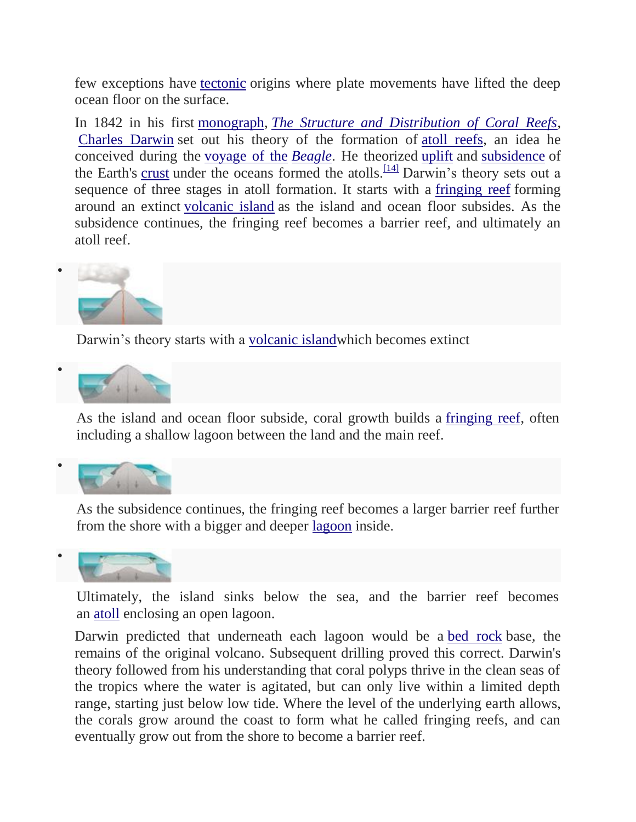few exceptions have [tectonic](https://en.wikipedia.org/wiki/Tectonic) origins where plate movements have lifted the deep ocean floor on the surface.

In 1842 in his first [monograph,](https://en.wikipedia.org/wiki/Monograph) *[The Structure and Distribution of Coral Reefs](https://en.wikipedia.org/wiki/The_Structure_and_Distribution_of_Coral_Reefs)*, [Charles Darwin](https://en.wikipedia.org/wiki/Charles_Darwin) set out his theory of the formation of [atoll reefs,](https://en.wikipedia.org/wiki/Atoll_reef) an idea he conceived during the [voyage of the](https://en.wikipedia.org/wiki/Second_voyage_of_HMS_Beagle) *Beagle*. He theorized [uplift](https://en.wikipedia.org/wiki/Tectonic_uplift) and [subsidence](https://en.wikipedia.org/wiki/Subsidence) of the Earth's [crust](https://en.wikipedia.org/wiki/Oceanic_crust) under the oceans formed the atolls.<sup>[\[14\]](https://en.wikipedia.org/wiki/Coral_reef#cite_note-cr-14)</sup> Darwin's theory sets out a sequence of three stages in atoll formation. It starts with a [fringing reef](https://en.wikipedia.org/wiki/Fringing_reef) forming around an extinct [volcanic island](https://en.wikipedia.org/wiki/Volcanic_island) as the island and ocean floor subsides. As the subsidence continues, the fringing reef becomes a barrier reef, and ultimately an atoll reef.



Darwin's theory starts with a [volcanic islandw](https://en.wikipedia.org/wiki/Volcanic_island)hich becomes extinct



As the island and ocean floor subside, coral growth builds a [fringing reef,](https://en.wikipedia.org/wiki/Fringing_reef) often including a shallow lagoon between the land and the main reef.



As the subsidence continues, the fringing reef becomes a larger barrier reef further from the shore with a bigger and deeper [lagoon](https://en.wikipedia.org/wiki/Lagoon) inside.



Ultimately, the island sinks below the sea, and the barrier reef becomes an [atoll](https://en.wikipedia.org/wiki/Atoll) enclosing an open lagoon.

Darwin predicted that underneath each lagoon would be a [bed rock](https://en.wikipedia.org/wiki/Bed_rock) base, the remains of the original volcano. Subsequent drilling proved this correct. Darwin's theory followed from his understanding that coral polyps thrive in the clean seas of the tropics where the water is agitated, but can only live within a limited depth range, starting just below low tide. Where the level of the underlying earth allows, the corals grow around the coast to form what he called fringing reefs, and can eventually grow out from the shore to become a barrier reef.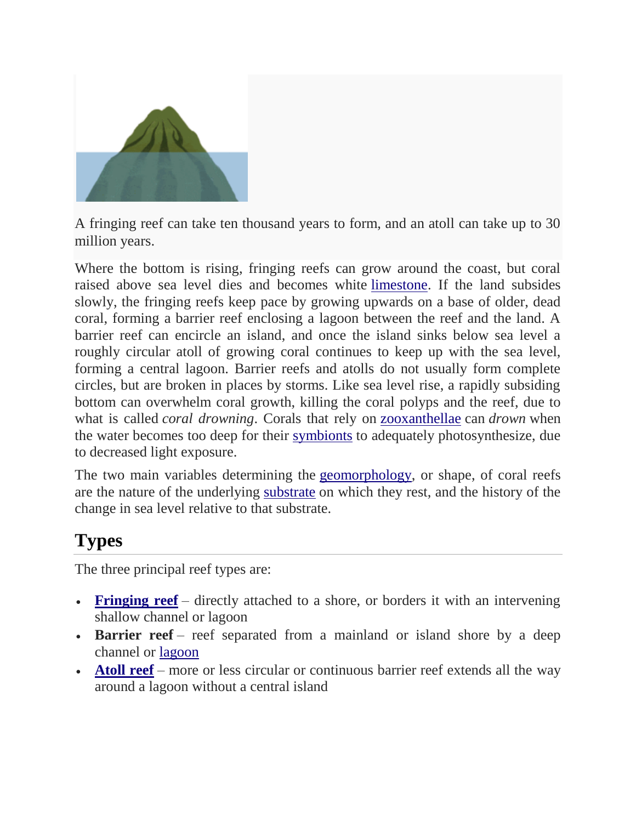

A fringing reef can take ten thousand years to form, and an atoll can take up to 30 million years.

Where the bottom is rising, fringing reefs can grow around the coast, but coral raised above sea level dies and becomes white [limestone.](https://en.wikipedia.org/wiki/Limestone) If the land subsides slowly, the fringing reefs keep pace by growing upwards on a base of older, dead coral, forming a barrier reef enclosing a lagoon between the reef and the land. A barrier reef can encircle an island, and once the island sinks below sea level a roughly circular atoll of growing coral continues to keep up with the sea level, forming a central lagoon. Barrier reefs and atolls do not usually form complete circles, but are broken in places by storms. Like sea level rise, a rapidly subsiding bottom can overwhelm coral growth, killing the coral polyps and the reef, due to what is called *coral drowning*. Corals that rely on [zooxanthellae](https://en.wikipedia.org/wiki/Zooxanthellae) can *drown* when the water becomes too deep for their [symbionts](https://en.wikipedia.org/wiki/Symbionts) to adequately photosynthesize, due to decreased light exposure.

The two main variables determining the [geomorphology,](https://en.wikipedia.org/wiki/Geomorphology) or shape, of coral reefs are the nature of the underlying [substrate](https://en.wikipedia.org/wiki/Substrate_(biology)) on which they rest, and the history of the change in sea level relative to that substrate.

# **Types**

The three principal reef types are:

- **[Fringing reef](https://en.wikipedia.org/wiki/Fringing_reef)** directly attached to a shore, or borders it with an intervening shallow channel or lagoon
- **Barrier reef** reef separated from a mainland or island shore by a deep channel or [lagoon](https://en.wikipedia.org/wiki/Lagoon)
- **[Atoll reef](https://en.wikipedia.org/wiki/Atoll_reef)** more or less circular or continuous barrier reef extends all the way around a lagoon without a central island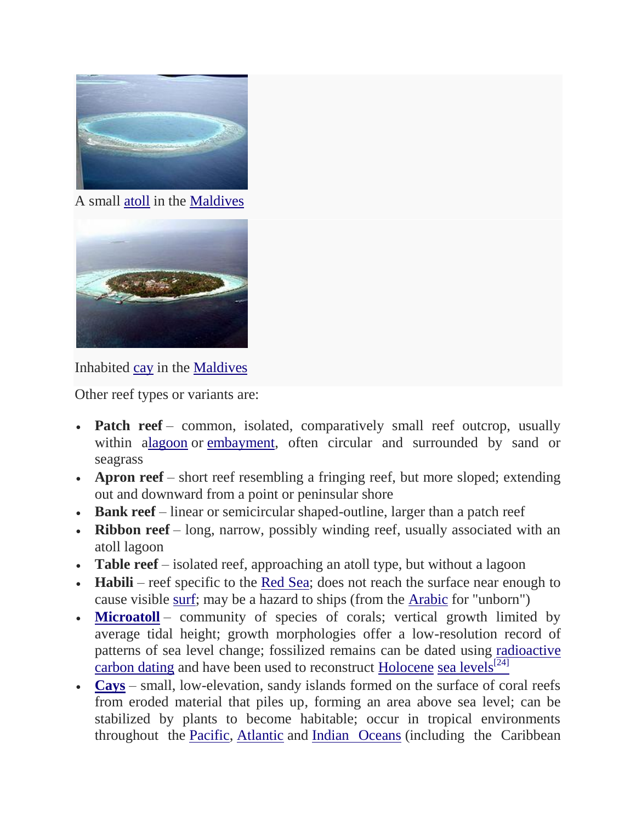

A small [atoll](https://en.wikipedia.org/wiki/Atoll) in the [Maldives](https://en.wikipedia.org/wiki/Maldives)



Inhabited [cay](https://en.wikipedia.org/wiki/Cay) in the [Maldives](https://en.wikipedia.org/wiki/Maldives)

Other reef types or variants are:

- **Patch reef** common, isolated, comparatively small reef outcrop, usually within [alagoon](https://en.wikipedia.org/wiki/Lagoon) or [embayment,](https://en.wikipedia.org/wiki/Embayment) often circular and surrounded by sand or seagrass
- **Apron reef** short reef resembling a fringing reef, but more sloped; extending out and downward from a point or peninsular shore
- **Bank reef** linear or semicircular shaped-outline, larger than a patch reef
- **Ribbon reef** long, narrow, possibly winding reef, usually associated with an atoll lagoon
- **Table reef** isolated reef, approaching an atoll type, but without a lagoon
- **Habili** reef specific to the [Red Sea;](https://en.wikipedia.org/wiki/Red_Sea) does not reach the surface near enough to cause visible [surf;](https://en.wikipedia.org/wiki/Breaking_wave) may be a hazard to ships (from the [Arabic](https://en.wikipedia.org/wiki/Arabic) for "unborn")
- **[Microatoll](https://en.wikipedia.org/wiki/Microatoll)** community of species of corals; vertical growth limited by average tidal height; growth morphologies offer a low-resolution record of patterns of sea level change; fossilized remains can be dated using [radioactive](https://en.wikipedia.org/wiki/Radiocarbon_dating)  [carbon dating](https://en.wikipedia.org/wiki/Radiocarbon_dating) and have been used to reconstruct [Holocene](https://en.wikipedia.org/wiki/Holocene) [sea levels](https://en.wikipedia.org/wiki/Sea_level) $^{[24]}$  $^{[24]}$  $^{[24]}$
- **[Cays](https://en.wikipedia.org/wiki/Cay)** small, low-elevation, sandy islands formed on the surface of coral reefs from eroded material that piles up, forming an area above sea level; can be stabilized by plants to become habitable; occur in tropical environments throughout the [Pacific,](https://en.wikipedia.org/wiki/Pacific_Ocean) [Atlantic](https://en.wikipedia.org/wiki/Atlantic_Ocean) and [Indian Oceans](https://en.wikipedia.org/wiki/Indian_Ocean) (including the Caribbean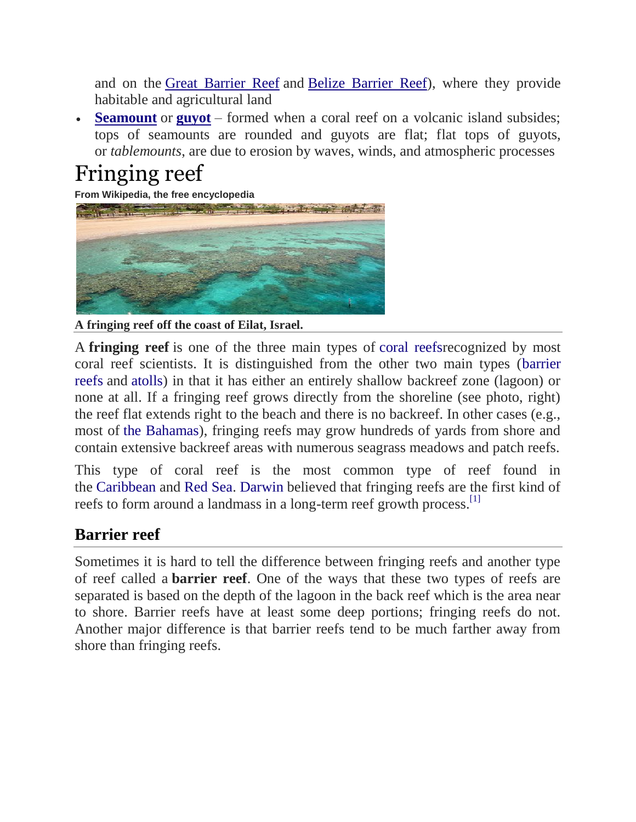and on the [Great Barrier Reef](https://en.wikipedia.org/wiki/Great_Barrier_Reef) and [Belize Barrier Reef\)](https://en.wikipedia.org/wiki/Belize_Barrier_Reef), where they provide habitable and agricultural land

 **[Seamount](https://en.wikipedia.org/wiki/Seamount)** or **[guyot](https://en.wikipedia.org/wiki/Guyot)** – formed when a coral reef on a volcanic island subsides; tops of seamounts are rounded and guyots are flat; flat tops of guyots, or *tablemounts*, are due to erosion by waves, winds, and atmospheric processes

# Fringing reef

**From Wikipedia, the free encyclopedia**



**A fringing reef off the coast of Eilat, Israel.**

A **fringing reef** is one of the three main types of [coral reefsr](https://en.wikipedia.org/wiki/Coral_reef)ecognized by most coral reef scientists. It is distinguished from the other two main types [\(barrier](https://en.wikipedia.org/wiki/Coral_reef)  [reefs](https://en.wikipedia.org/wiki/Coral_reef) and [atolls\)](https://en.wikipedia.org/wiki/Atoll) in that it has either an entirely shallow backreef zone (lagoon) or none at all. If a fringing reef grows directly from the shoreline (see photo, right) the reef flat extends right to the beach and there is no backreef. In other cases (e.g., most of [the Bahamas\)](https://en.wikipedia.org/wiki/The_Bahamas), fringing reefs may grow hundreds of yards from shore and contain extensive backreef areas with numerous seagrass meadows and patch reefs.

This type of coral reef is the most common type of reef found in the [Caribbean](https://en.wikipedia.org/wiki/Caribbean_sea) and [Red Sea.](https://en.wikipedia.org/wiki/Red_Sea) [Darwin](https://en.wikipedia.org/wiki/Charles_Darwin) believed that fringing reefs are the first kind of reefs to form around a landmass in a long-term reef growth process.<sup>[\[1\]](https://en.wikipedia.org/wiki/Fringing_reef#cite_note-growth_and_morphology-1)</sup>

## **Barrier reef**

Sometimes it is hard to tell the difference between fringing reefs and another type of reef called a **barrier reef**. One of the ways that these two types of reefs are separated is based on the depth of the lagoon in the back reef which is the area near to shore. Barrier reefs have at least some deep portions; fringing reefs do not. Another major difference is that barrier reefs tend to be much farther away from shore than fringing reefs.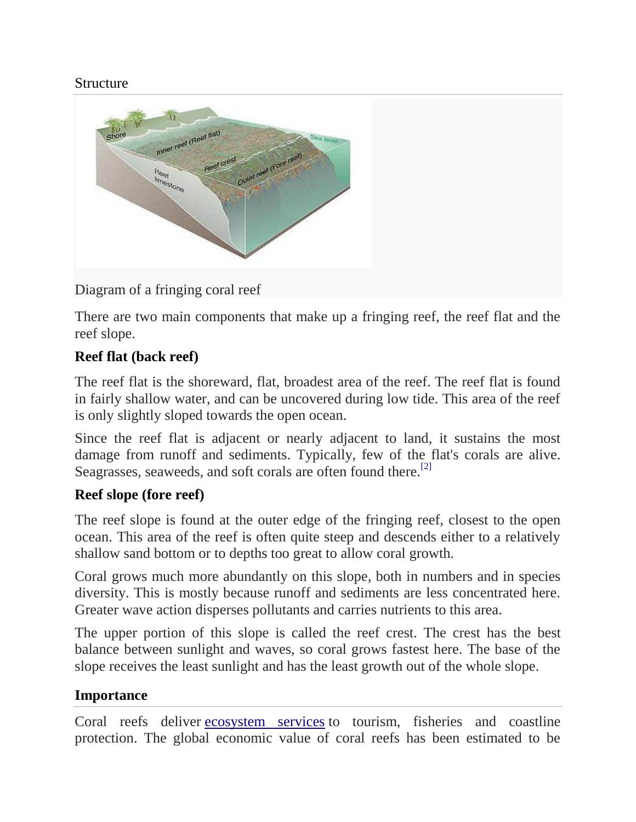#### Structure



#### Diagram of a fringing coral reef

There are two main components that make up a fringing reef, the reef flat and the reef slope.

#### **Reef flat (back reef)**

The reef flat is the shoreward, flat, broadest area of the reef. The reef flat is found in fairly shallow water, and can be uncovered during low tide. This area of the reef is only slightly sloped towards the open ocean.

Since the reef flat is adjacent or nearly adjacent to land, it sustains the most damage from runoff and sediments. Typically, few of the flat's corals are alive. Seagrasses, seaweeds, and soft corals are often found there.<sup>[\[2\]](https://en.wikipedia.org/wiki/Fringing_reef#cite_note-Castro_and_Huber-2)</sup>

#### **Reef slope (fore reef)**

The reef slope is found at the outer edge of the fringing reef, closest to the open ocean. This area of the reef is often quite steep and descends either to a relatively shallow sand bottom or to depths too great to allow coral growth.

Coral grows much more abundantly on this slope, both in numbers and in species diversity. This is mostly because runoff and sediments are less concentrated here. Greater wave action disperses pollutants and carries nutrients to this area.

The upper portion of this slope is called the reef crest. The crest has the best balance between sunlight and waves, so coral grows fastest here. The base of the slope receives the least sunlight and has the least growth out of the whole slope.

#### **Importance**

Coral reefs deliver [ecosystem services](https://en.wikipedia.org/wiki/Ecosystem_services) to tourism, fisheries and coastline protection. The global economic value of coral reefs has been estimated to be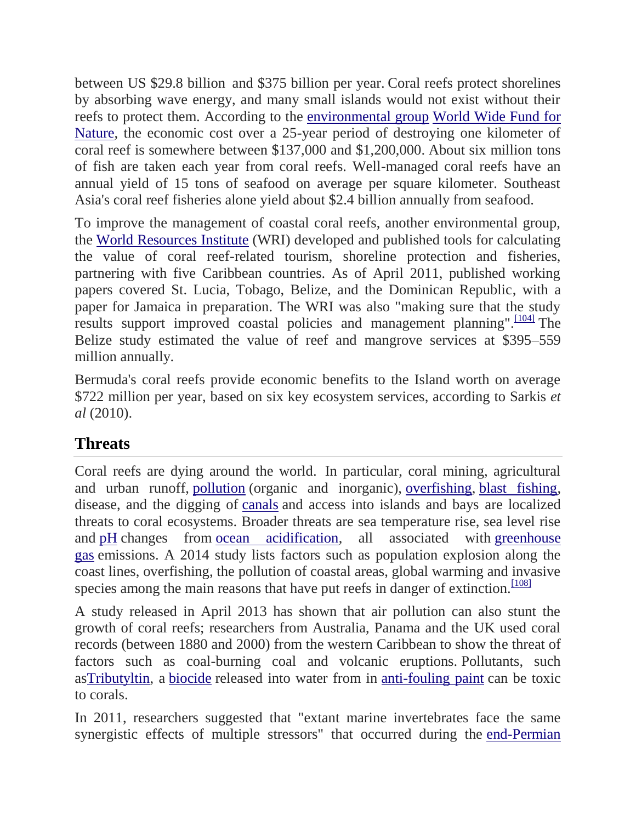between US \$29.8 billion and \$375 billion per year. Coral reefs protect shorelines by absorbing wave energy, and many small islands would not exist without their reefs to protect them. According to the [environmental group](https://en.wikipedia.org/wiki/Environmental_group) [World Wide Fund for](https://en.wikipedia.org/wiki/World_Wide_Fund_for_Nature)  [Nature,](https://en.wikipedia.org/wiki/World_Wide_Fund_for_Nature) the economic cost over a 25-year period of destroying one kilometer of coral reef is somewhere between \$137,000 and \$1,200,000. About six million tons of fish are taken each year from coral reefs. Well-managed coral reefs have an annual yield of 15 tons of seafood on average per square kilometer. Southeast Asia's coral reef fisheries alone yield about \$2.4 billion annually from seafood.

To improve the management of coastal coral reefs, another environmental group, the [World Resources Institute](https://en.wikipedia.org/wiki/World_Resources_Institute) (WRI) developed and published tools for calculating the value of coral reef-related tourism, shoreline protection and fisheries, partnering with five Caribbean countries. As of April 2011, published working papers covered St. Lucia, Tobago, Belize, and the Dominican Republic, with a paper for Jamaica in preparation. The WRI was also "making sure that the study results support improved coastal policies and management planning".<sup>[\[104\]](https://en.wikipedia.org/wiki/Coral_reef#cite_note-104)</sup> The Belize study estimated the value of reef and mangrove services at \$395–559 million annually.

Bermuda's coral reefs provide economic benefits to the Island worth on average \$722 million per year, based on six key ecosystem services, according to Sarkis *et al* (2010).

## **Threats**

Coral reefs are dying around the world. In particular, coral mining, agricultural and urban runoff, [pollution](https://en.wikipedia.org/wiki/Pollution) (organic and inorganic), [overfishing,](https://en.wikipedia.org/wiki/Overfishing) [blast fishing,](https://en.wikipedia.org/wiki/Blast_fishing) disease, and the digging of [canals](https://en.wikipedia.org/wiki/Canal) and access into islands and bays are localized threats to coral ecosystems. Broader threats are sea temperature rise, sea level rise and [pH](https://en.wikipedia.org/wiki/PH) changes from [ocean acidification,](https://en.wikipedia.org/wiki/Ocean_acidification) all associated with [greenhouse](https://en.wikipedia.org/wiki/Greenhouse_gas)  [gas](https://en.wikipedia.org/wiki/Greenhouse_gas) emissions. A 2014 study lists factors such as population explosion along the coast lines, overfishing, the pollution of coastal areas, global warming and invasive species among the main reasons that have put reefs in danger of extinction.<sup>[\[108\]](https://en.wikipedia.org/wiki/Coral_reef#cite_note-108)</sup>

A study released in April 2013 has shown that air pollution can also stunt the growth of coral reefs; researchers from Australia, Panama and the UK used coral records (between 1880 and 2000) from the western Caribbean to show the threat of factors such as coal-burning coal and volcanic eruptions. Pollutants, such a[sTributyltin,](https://en.wikipedia.org/wiki/Tributyltin) a [biocide](https://en.wikipedia.org/wiki/Biocide) released into water from in [anti-fouling paint](https://en.wikipedia.org/wiki/Anti-fouling_paint) can be toxic to corals.

In 2011, researchers suggested that "extant marine invertebrates face the same synergistic effects of multiple stressors" that occurred during the [end-Permian](https://en.wikipedia.org/wiki/End-Permian_extinction)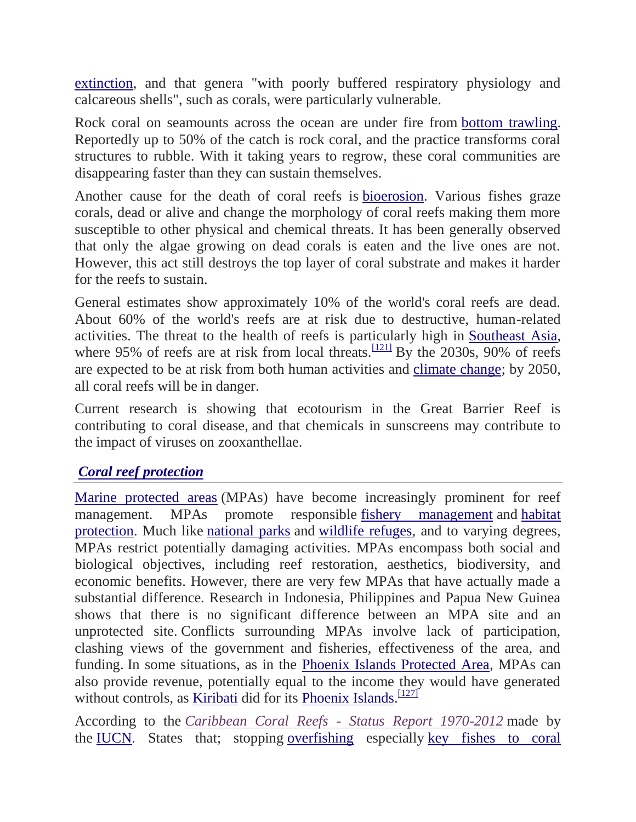extinction, and that genera "with poorly buffered respiratory physiology and calcareous shells", such as corals, were particularly vulnerable.

Rock coral on seamounts across the ocean are under fire from [bottom trawling.](https://en.wikipedia.org/wiki/Bottom_trawling) Reportedly up to 50% of the catch is rock coral, and the practice transforms coral structures to rubble. With it taking years to regrow, these coral communities are disappearing faster than they can sustain themselves.

Another cause for the death of coral reefs is [bioerosion.](https://en.wikipedia.org/wiki/Bioerosion) Various fishes graze corals, dead or alive and change the morphology of coral reefs making them more susceptible to other physical and chemical threats. It has been generally observed that only the algae growing on dead corals is eaten and the live ones are not. However, this act still destroys the top layer of coral substrate and makes it harder for the reefs to sustain.

General estimates show approximately 10% of the world's coral reefs are dead. About 60% of the world's reefs are at risk due to destructive, human-related activities. The threat to the health of reefs is particularly high in [Southeast Asia,](https://en.wikipedia.org/wiki/Southeast_Asia) where 95% of reefs are at risk from local threats.<sup>[\[121\]](https://en.wikipedia.org/wiki/Coral_reef#cite_note-121)</sup> By the 2030s, 90% of reefs are expected to be at risk from both human activities and [climate change;](https://en.wikipedia.org/wiki/Climate_change) by 2050, all coral reefs will be in danger.

Current research is showing that ecotourism in the Great Barrier Reef is contributing to coral disease, and that chemicals in sunscreens may contribute to the impact of viruses on zooxanthellae.

#### *[Coral reef protection](https://en.wikipedia.org/wiki/Coral_reef_protection)*

[Marine protected areas](https://en.wikipedia.org/wiki/Marine_Protected_Area) (MPAs) have become increasingly prominent for reef management. MPAs promote responsible [fishery management](https://en.wikipedia.org/wiki/Fisheries_management) and [habitat](https://en.wikipedia.org/wiki/Habitat_(ecology))  [protection.](https://en.wikipedia.org/wiki/Habitat_(ecology)) Much like [national parks](https://en.wikipedia.org/wiki/National_park) and [wildlife refuges,](https://en.wikipedia.org/wiki/Wildlife_refuge) and to varying degrees, MPAs restrict potentially damaging activities. MPAs encompass both social and biological objectives, including reef restoration, aesthetics, biodiversity, and economic benefits. However, there are very few MPAs that have actually made a substantial difference. Research in Indonesia, Philippines and Papua New Guinea shows that there is no significant difference between an MPA site and an unprotected site. Conflicts surrounding MPAs involve lack of participation, clashing views of the government and fisheries, effectiveness of the area, and funding. In some situations, as in the [Phoenix Islands Protected Area,](https://en.wikipedia.org/wiki/Phoenix_Islands_Protected_Area) MPAs can also provide revenue, potentially equal to the income they would have generated without controls, as **[Kiribati](https://en.wikipedia.org/wiki/Kiribati)** did for its **Phoenix Islands**.<sup>[\[127\]](https://en.wikipedia.org/wiki/Coral_reef#cite_note-127)</sup>

According to the *[Caribbean Coral Reefs -](http://cmsdata.iucn.org/downloads/caribbean_coral_reefs___status_report_1970_2012.pdf) Status Report 1970-2012* made by the [IUCN.](https://en.wikipedia.org/wiki/International_Union_for_Conservation_of_Nature) States that; stopping [overfishing](https://en.wikipedia.org/wiki/Overfishing) especially [key fishes to coral](https://en.wikipedia.org/wiki/Coral_reef_fish#Herbivores)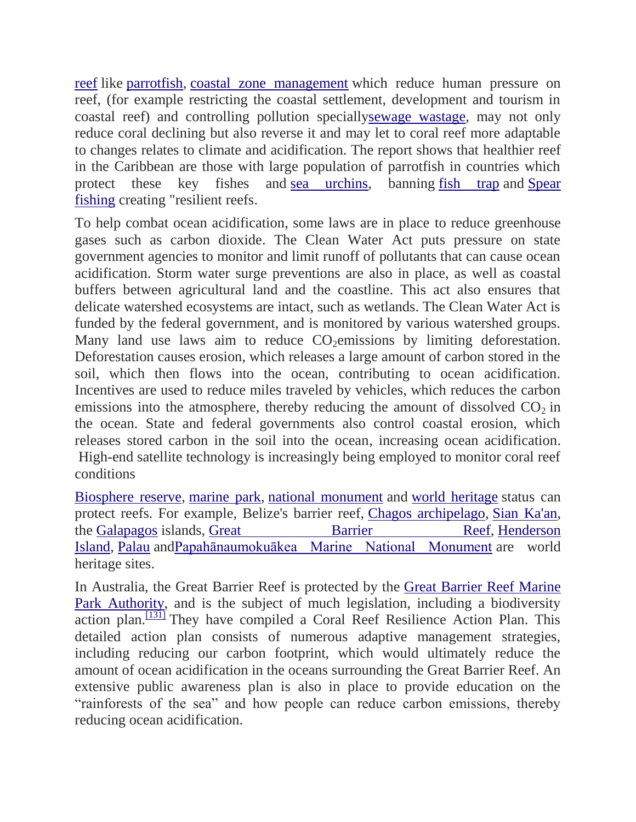reef like [parrotfish,](https://en.wikipedia.org/wiki/Parrotfish#Economic_importance) [coastal zone management](https://en.wikipedia.org/wiki/Integrated_coastal_zone_management#The_importance_of_the_Coastal_Zone_and_the_need_for_management) which reduce human pressure on reef, (for example restricting the coastal settlement, development and tourism in coastal reef) and controlling pollution speciall[ysewage wastage,](https://en.wikipedia.org/wiki/Sewage) may not only reduce coral declining but also reverse it and may let to coral reef more adaptable to changes relates to climate and acidification. The report shows that healthier reef in the Caribbean are those with large population of parrotfish in countries which protect these key fishes and [sea urchins,](https://en.wikipedia.org/wiki/Sea_urchins) banning [fish trap](https://en.wikipedia.org/wiki/Fish_trap) and [Spear](https://en.wikipedia.org/wiki/Spearfishing) [fishing](https://en.wikipedia.org/wiki/Spearfishing) creating "resilient reefs.

To help combat ocean acidification, some laws are in place to reduce greenhouse gases such as carbon dioxide. The Clean Water Act puts pressure on state government agencies to monitor and limit runoff of pollutants that can cause ocean acidification. Storm water surge preventions are also in place, as well as coastal buffers between agricultural land and the coastline. This act also ensures that delicate watershed ecosystems are intact, such as wetlands. The Clean Water Act is funded by the federal government, and is monitored by various watershed groups. Many land use laws aim to reduce  $CO<sub>2</sub>$ emissions by limiting deforestation. Deforestation causes erosion, which releases a large amount of carbon stored in the soil, which then flows into the ocean, contributing to ocean acidification. Incentives are used to reduce miles traveled by vehicles, which reduces the carbon emissions into the atmosphere, thereby reducing the amount of dissolved  $CO<sub>2</sub>$  in the ocean. State and federal governments also control coastal erosion, which releases stored carbon in the soil into the ocean, increasing ocean acidification. High-end satellite technology is increasingly being employed to monitor coral reef conditions

[Biosphere reserve,](https://en.wikipedia.org/wiki/Biosphere_reserve) [marine park,](https://en.wikipedia.org/wiki/Marine_park) [national monument](https://en.wikipedia.org/wiki/National_monument) and [world heritage](https://en.wikipedia.org/wiki/World_heritage) status can protect reefs. For example, Belize's barrier reef, [Chagos archipelago,](https://en.wikipedia.org/wiki/Chagos_archipelago) [Sian Ka'an,](https://en.wikipedia.org/wiki/Sian_Ka%27an) the [Galapagos](https://en.wikipedia.org/wiki/Galapagos) islands, [Great Barrier Reef,](https://en.wikipedia.org/wiki/Great_Barrier_Reef) Henderson [Island,](https://en.wikipedia.org/wiki/Henderson_Island_(Pitcairn_Islands)) [Palau](https://en.wikipedia.org/wiki/Palau) an[dPapahānaumokuākea Marine National Monument](https://en.wikipedia.org/wiki/Papah%C4%81naumoku%C4%81kea_Marine_National_Monument) are world heritage sites.

In Australia, the Great Barrier Reef is protected by the [Great Barrier Reef Marine](https://en.wikipedia.org/wiki/Great_Barrier_Reef_Marine_Park_Authority)  [Park Authority,](https://en.wikipedia.org/wiki/Great_Barrier_Reef_Marine_Park_Authority) and is the subject of much legislation, including a biodiversity  $\alpha$ ction plan.<sup>[\[131\]](https://en.wikipedia.org/wiki/Coral_reef#cite_note-GBRMPA-131)</sup> They have compiled a Coral Reef Resilience Action Plan. This detailed action plan consists of numerous adaptive management strategies, including reducing our carbon footprint, which would ultimately reduce the amount of ocean acidification in the oceans surrounding the Great Barrier Reef. An extensive public awareness plan is also in place to provide education on the "rainforests of the sea" and how people can reduce carbon emissions, thereby reducing ocean acidification.